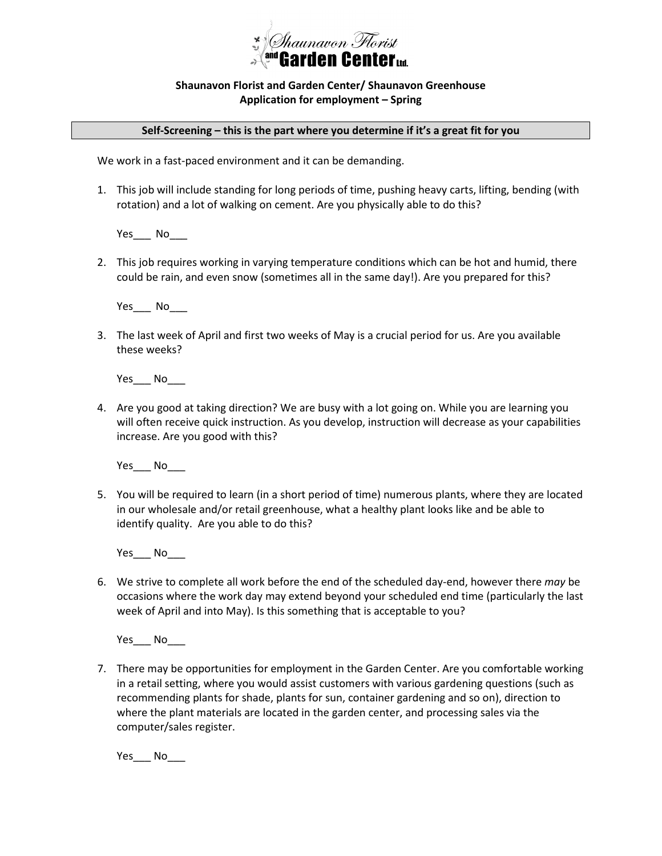

## **Shaunavon Florist and Garden Center/ Shaunavon Greenhouse Application for employment – Spring**

## **Self-Screening – this is the part where you determine if it's a great fit for you**

We work in a fast-paced environment and it can be demanding.

1. This job will include standing for long periods of time, pushing heavy carts, lifting, bending (with rotation) and a lot of walking on cement. Are you physically able to do this?

Yes\_\_\_ No\_\_\_

2. This job requires working in varying temperature conditions which can be hot and humid, there could be rain, and even snow (sometimes all in the same day!). Are you prepared for this?

Yes\_\_\_ No

3. The last week of April and first two weeks of May is a crucial period for us. Are you available these weeks?

Yes\_\_\_ No\_\_\_

4. Are you good at taking direction? We are busy with a lot going on. While you are learning you will often receive quick instruction. As you develop, instruction will decrease as your capabilities increase. Are you good with this?

Yes\_\_\_ No

5. You will be required to learn (in a short period of time) numerous plants, where they are located in our wholesale and/or retail greenhouse, what a healthy plant looks like and be able to identify quality. Are you able to do this?

 $Yes$  No

6. We strive to complete all work before the end of the scheduled day-end, however there *may* be occasions where the work day may extend beyond your scheduled end time (particularly the last week of April and into May). Is this something that is acceptable to you?

Yes\_\_\_ No\_\_\_

7. There may be opportunities for employment in the Garden Center. Are you comfortable working in a retail setting, where you would assist customers with various gardening questions (such as recommending plants for shade, plants for sun, container gardening and so on), direction to where the plant materials are located in the garden center, and processing sales via the computer/sales register.

 $Yes$  No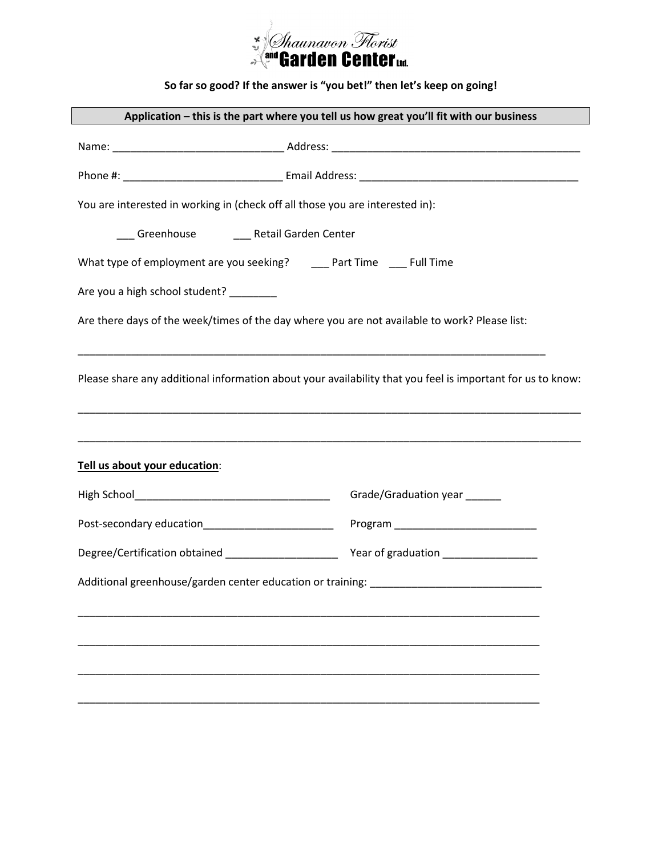

**So far so good? If the answer is "you bet!" then let's keep on going!**

|                                                                                                                                             | Application - this is the part where you tell us how great you'll fit with our business |  |
|---------------------------------------------------------------------------------------------------------------------------------------------|-----------------------------------------------------------------------------------------|--|
|                                                                                                                                             |                                                                                         |  |
|                                                                                                                                             |                                                                                         |  |
| You are interested in working in (check off all those you are interested in):                                                               |                                                                                         |  |
| ___ Greenhouse _______ Retail Garden Center                                                                                                 |                                                                                         |  |
| What type of employment are you seeking? _____ Part Time ____ Full Time                                                                     |                                                                                         |  |
| Are you a high school student? _______                                                                                                      |                                                                                         |  |
| Are there days of the week/times of the day where you are not available to work? Please list:                                               |                                                                                         |  |
| Please share any additional information about your availability that you feel is important for us to know:<br>Tell us about your education: |                                                                                         |  |
|                                                                                                                                             | Grade/Graduation year ______                                                            |  |
|                                                                                                                                             |                                                                                         |  |
|                                                                                                                                             |                                                                                         |  |
|                                                                                                                                             |                                                                                         |  |
|                                                                                                                                             |                                                                                         |  |
|                                                                                                                                             |                                                                                         |  |
|                                                                                                                                             |                                                                                         |  |
|                                                                                                                                             |                                                                                         |  |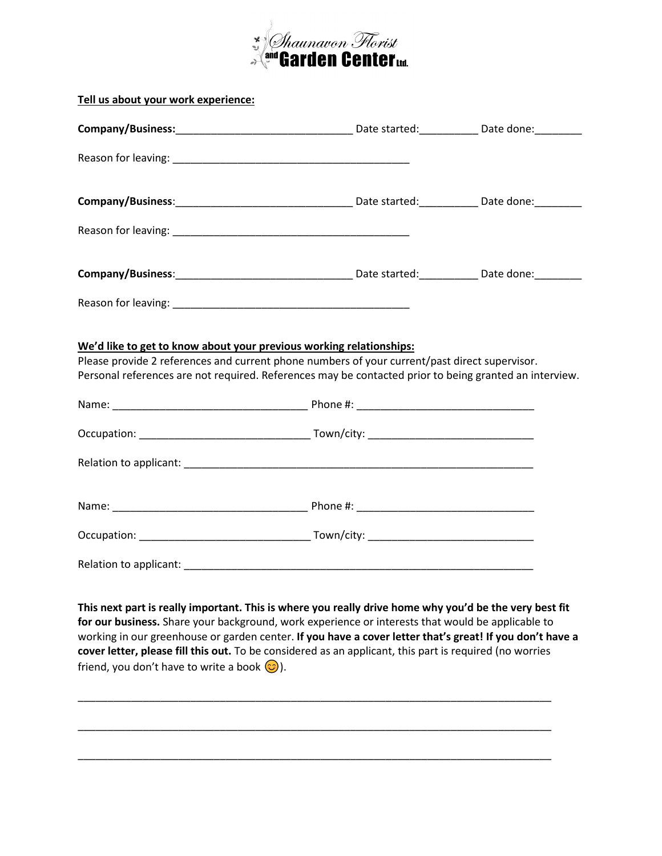

| Tell us about your work experience:                                                                                                                                                                                                                                                                                                                                                                                                                                                           |  |
|-----------------------------------------------------------------------------------------------------------------------------------------------------------------------------------------------------------------------------------------------------------------------------------------------------------------------------------------------------------------------------------------------------------------------------------------------------------------------------------------------|--|
|                                                                                                                                                                                                                                                                                                                                                                                                                                                                                               |  |
|                                                                                                                                                                                                                                                                                                                                                                                                                                                                                               |  |
|                                                                                                                                                                                                                                                                                                                                                                                                                                                                                               |  |
|                                                                                                                                                                                                                                                                                                                                                                                                                                                                                               |  |
|                                                                                                                                                                                                                                                                                                                                                                                                                                                                                               |  |
|                                                                                                                                                                                                                                                                                                                                                                                                                                                                                               |  |
| We'd like to get to know about your previous working relationships:<br>Please provide 2 references and current phone numbers of your current/past direct supervisor.<br>Personal references are not required. References may be contacted prior to being granted an interview.                                                                                                                                                                                                                |  |
|                                                                                                                                                                                                                                                                                                                                                                                                                                                                                               |  |
|                                                                                                                                                                                                                                                                                                                                                                                                                                                                                               |  |
|                                                                                                                                                                                                                                                                                                                                                                                                                                                                                               |  |
|                                                                                                                                                                                                                                                                                                                                                                                                                                                                                               |  |
|                                                                                                                                                                                                                                                                                                                                                                                                                                                                                               |  |
| This next part is really important. This is where you really drive home why you'd be the very best fit<br>for our business. Share your background, work experience or interests that would be applicable to<br>working in our greenhouse or garden center. If you have a cover letter that's great! If you don't have a<br>cover letter, please fill this out. To be considered as an applicant, this part is required (no worries<br>friend, you don't have to write a book $\circled{c}$ ). |  |

\_\_\_\_\_\_\_\_\_\_\_\_\_\_\_\_\_\_\_\_\_\_\_\_\_\_\_\_\_\_\_\_\_\_\_\_\_\_\_\_\_\_\_\_\_\_\_\_\_\_\_\_\_\_\_\_\_\_\_\_\_\_\_\_\_\_\_\_\_\_\_\_\_\_\_\_\_\_\_\_